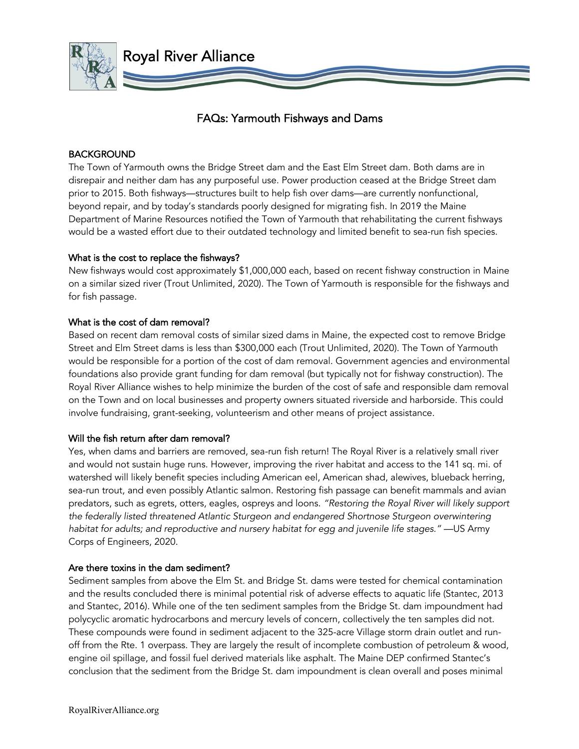

# FAQs: Yarmouth Fishways and Dams

# **BACKGROUND**

The Town of Yarmouth owns the Bridge Street dam and the East Elm Street dam. Both dams are in disrepair and neither dam has any purposeful use. Power production ceased at the Bridge Street dam prior to 2015. Both fishways—structures built to help fish over dams—are currently nonfunctional, beyond repair, and by today's standards poorly designed for migrating fish. In 2019 the Maine Department of Marine Resources notified the Town of Yarmouth that rehabilitating the current fishways would be a wasted effort due to their outdated technology and limited benefit to sea-run fish species.

# What is the cost to replace the fishways?

New fishways would cost approximately \$1,000,000 each, based on recent fishway construction in Maine on a similar sized river (Trout Unlimited, 2020). The Town of Yarmouth is responsible for the fishways and for fish passage.

# What is the cost of dam removal?

Based on recent dam removal costs of similar sized dams in Maine, the expected cost to remove Bridge Street and Elm Street dams is less than \$300,000 each (Trout Unlimited, 2020). The Town of Yarmouth would be responsible for a portion of the cost of dam removal. Government agencies and environmental foundations also provide grant funding for dam removal (but typically not for fishway construction). The Royal River Alliance wishes to help minimize the burden of the cost of safe and responsible dam removal on the Town and on local businesses and property owners situated riverside and harborside. This could involve fundraising, grant-seeking, volunteerism and other means of project assistance.

## Will the fish return after dam removal?

Yes, when dams and barriers are removed, sea-run fish return! The Royal River is a relatively small river and would not sustain huge runs. However, improving the river habitat and access to the 141 sq. mi. of watershed will likely benefit species including American eel, American shad, alewives, blueback herring, sea-run trout, and even possibly Atlantic salmon. Restoring fish passage can benefit mammals and avian predators, such as egrets, otters, eagles, ospreys and loons. *"Restoring the Royal River will likely support the federally listed threatened Atlantic Sturgeon and endangered Shortnose Sturgeon overwintering habitat for adults; and reproductive and nursery habitat for egg and juvenile life stages."* —US Army Corps of Engineers, 2020.

# Are there toxins in the dam sediment?

Sediment samples from above the Elm St. and Bridge St. dams were tested for chemical contamination and the results concluded there is minimal potential risk of adverse effects to aquatic life (Stantec, 2013 and Stantec, 2016). While one of the ten sediment samples from the Bridge St. dam impoundment had polycyclic aromatic hydrocarbons and mercury levels of concern, collectively the ten samples did not. These compounds were found in sediment adjacent to the 325-acre Village storm drain outlet and runoff from the Rte. 1 overpass. They are largely the result of incomplete combustion of petroleum & wood, engine oil spillage, and fossil fuel derived materials like asphalt. The Maine DEP confirmed Stantec's conclusion that the sediment from the Bridge St. dam impoundment is clean overall and poses minimal